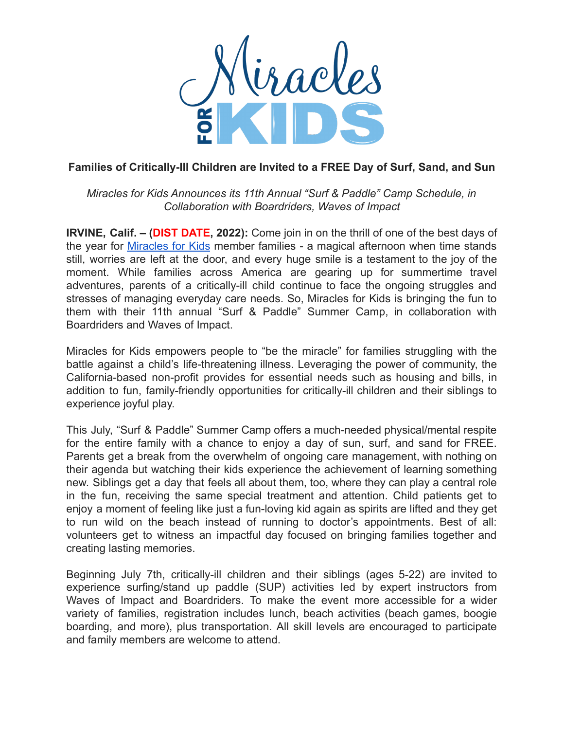

## **Families of Critically-Ill Children are Invited to a FREE Day of Surf, Sand, and Sun**

*Miracles for Kids Announces its 11th Annual "Surf & Paddle" Camp Schedule, in Collaboration with Boardriders, Waves of Impact*

**IRVINE, Calif. – (DIST DATE, 2022):** Come join in on the thrill of one of the best days of the year for [Miracles](https://miraclesforkids.org/) for Kids member families - a magical afternoon when time stands still, worries are left at the door, and every huge smile is a testament to the joy of the moment. While families across America are gearing up for summertime travel adventures, parents of a critically-ill child continue to face the ongoing struggles and stresses of managing everyday care needs. So, Miracles for Kids is bringing the fun to them with their 11th annual "Surf & Paddle" Summer Camp, in collaboration with Boardriders and Waves of Impact.

Miracles for Kids empowers people to "be the miracle" for families struggling with the battle against a child's life-threatening illness. Leveraging the power of community, the California-based non-profit provides for essential needs such as housing and bills, in addition to fun, family-friendly opportunities for critically-ill children and their siblings to experience joyful play.

This July, "Surf & Paddle" Summer Camp offers a much-needed physical/mental respite for the entire family with a chance to enjoy a day of sun, surf, and sand for FREE. Parents get a break from the overwhelm of ongoing care management, with nothing on their agenda but watching their kids experience the achievement of learning something new. Siblings get a day that feels all about them, too, where they can play a central role in the fun, receiving the same special treatment and attention. Child patients get to enjoy a moment of feeling like just a fun-loving kid again as spirits are lifted and they get to run wild on the beach instead of running to doctor's appointments. Best of all: volunteers get to witness an impactful day focused on bringing families together and creating lasting memories.

Beginning July 7th, critically-ill children and their siblings (ages 5-22) are invited to experience surfing/stand up paddle (SUP) activities led by expert instructors from Waves of Impact and Boardriders. To make the event more accessible for a wider variety of families, registration includes lunch, beach activities (beach games, boogie boarding, and more), plus transportation. All skill levels are encouraged to participate and family members are welcome to attend.